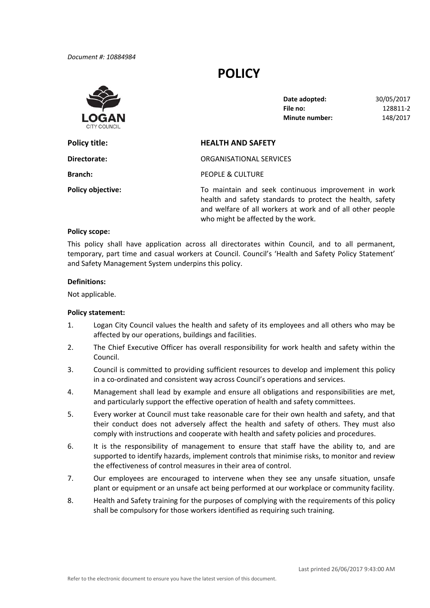*Document #: 10884984*

# **POLICY**



**File no: Date adopted:** 30/05/2017 **File no:** 128811‐2 **Minute number:** 148/2017

## **Policy title: HEALTH AND SAFETY Branch:** PEOPLE & CULTURE **Policy objective:** To maintain and seek continuous improvement in work health and safety standards to protect the health, safety and welfare of all workers at work and of all other people **Directorate:** ORGANISATIONAL SERVICES

#### **Policy scope:**

 This policy shall have application across all directorates within Council, and to all permanent, temporary, part time and casual workers at Council. Council's 'Health and Safety Policy Statement' and Safety Management System underpins this policy.

who might be affected by the work.

#### **Definitions:**

Not applicable.

#### **Policy statement:**

- 1. Logan City Council values the health and safety of its employees and all others who may be affected by our operations, buildings and facilities.
- 2. The Chief Executive Officer has overall responsibility for work health and safety within the Council.
- 3. Council is committed to providing sufficient resources to develop and implement this policy in a co‐ordinated and consistent way across Council's operations and services.
- 4. Management shall lead by example and ensure all obligations and responsibilities are met, and particularly support the effective operation of health and safety committees.
- 5. Every worker at Council must take reasonable care for their own health and safety, and that their conduct does not adversely affect the health and safety of others. They must also comply with instructions and cooperate with health and safety policies and procedures.
- 6. It is the responsibility of management to ensure that staff have the ability to, and are supported to identify hazards, implement controls that minimise risks, to monitor and review the effectiveness of control measures in their area of control.
- 7. Our employees are encouraged to intervene when they see any unsafe situation, unsafe plant or equipment or an unsafe act being performed at our workplace or community facility.
- 8. Health and Safety training for the purposes of complying with the requirements of this policy shall be compulsory for those workers identified as requiring such training.